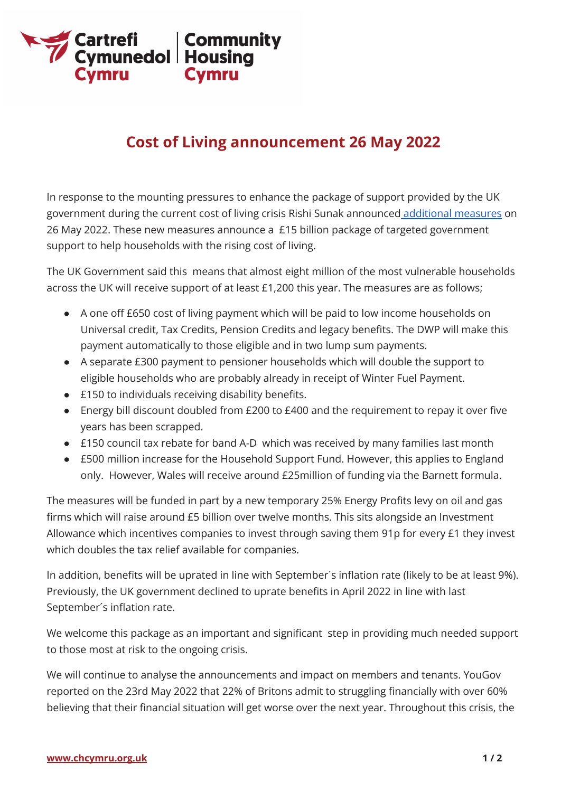

## **Cost of Living announcement 26 May 2022**

In response to the mounting pressures to enhance the package of support provided by the UK government during the current cost of living crisis Rishi Sunak announced [additional](https://www.gov.uk/government/news/millions-of-most-vulnerable-households-will-receive-1200-of-help-with-cost-of-living?utm_medium=email&utm_campaign=govuk-notifications-topic&utm_source=1357677e-a719-49f6-83b6-b393c91732be&utm_content=immediately) measures on 26 May 2022. These new measures announce a £15 billion package of targeted government support to help households with the rising cost of living.

The UK Government said this means that almost eight million of the most vulnerable households across the UK will receive support of at least £1,200 this year. The measures are as follows;

- A one off £650 cost of living payment which will be paid to low income households on Universal credit, Tax Credits, Pension Credits and legacy benefits. The DWP will make this payment automatically to those eligible and in two lump sum payments.
- A separate £300 payment to pensioner households which will double the support to eligible households who are probably already in receipt of Winter Fuel Payment.
- £150 to individuals receiving disability benefits.
- Energy bill discount doubled from £200 to £400 and the requirement to repay it over five years has been scrapped.
- £150 council tax rebate for band A-D which was received by many families last month
- £500 million increase for the Household Support Fund. However, this applies to England only. However, Wales will receive around £25million of funding via the Barnett formula.

The measures will be funded in part by a new temporary 25% Energy Profits levy on oil and gas firms which will raise around £5 billion over twelve months. This sits alongside an Investment Allowance which incentives companies to invest through saving them 91p for every £1 they invest which doubles the tax relief available for companies.

In addition, benefits will be uprated in line with September´s inflation rate (likely to be at least 9%). Previously, the UK government declined to uprate benefits in April 2022 in line with last September´s inflation rate.

We welcome this package as an important and significant step in providing much needed support to those most at risk to the ongoing crisis.

We will continue to analyse the announcements and impact on members and tenants. YouGov reported on the 23rd May 2022 that 22% of Britons admit to struggling financially with over 60% believing that their financial situation will get worse over the next year. Throughout this crisis, the